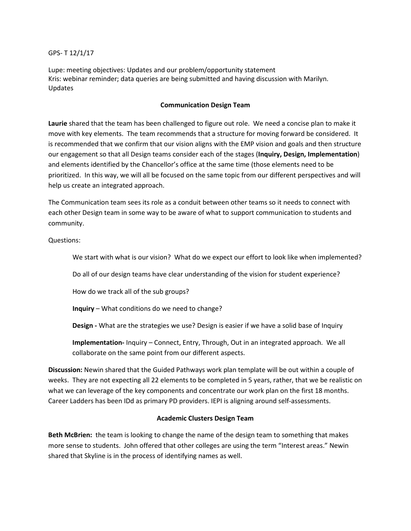GPS- T 12/1/17

Lupe: meeting objectives: Updates and our problem/opportunity statement Kris: webinar reminder; data queries are being submitted and having discussion with Marilyn. Updates

# **Communication Design Team**

**Laurie** shared that the team has been challenged to figure out role. We need a concise plan to make it move with key elements. The team recommends that a structure for moving forward be considered. It is recommended that we confirm that our vision aligns with the EMP vision and goals and then structure our engagement so that all Design teams consider each of the stages (**Inquiry, Design, Implementation**) and elements identified by the Chancellor's office at the same time (those elements need to be prioritized. In this way, we will all be focused on the same topic from our different perspectives and will help us create an integrated approach.

The Communication team sees its role as a conduit between other teams so it needs to connect with each other Design team in some way to be aware of what to support communication to students and community.

Questions:

We start with what is our vision? What do we expect our effort to look like when implemented?

Do all of our design teams have clear understanding of the vision for student experience?

How do we track all of the sub groups?

**Inquiry** – What conditions do we need to change?

**Design -** What are the strategies we use? Design is easier if we have a solid base of Inquiry

**Implementation-** Inquiry – Connect, Entry, Through, Out in an integrated approach. We all collaborate on the same point from our different aspects.

**Discussion:** Newin shared that the Guided Pathways work plan template will be out within a couple of weeks. They are not expecting all 22 elements to be completed in 5 years, rather, that we be realistic on what we can leverage of the key components and concentrate our work plan on the first 18 months. Career Ladders has been IDd as primary PD providers. IEPI is aligning around self-assessments.

## **Academic Clusters Design Team**

**Beth McBrien:** the team is looking to change the name of the design team to something that makes more sense to students. John offered that other colleges are using the term "Interest areas." Newin shared that Skyline is in the process of identifying names as well.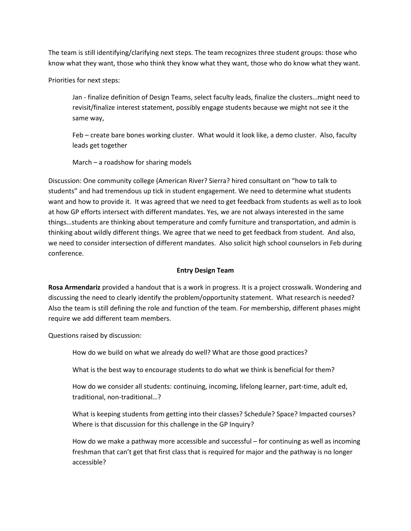The team is still identifying/clarifying next steps. The team recognizes three student groups: those who know what they want, those who think they know what they want, those who do know what they want.

Priorities for next steps:

Jan - finalize definition of Design Teams, select faculty leads, finalize the clusters…might need to revisit/finalize interest statement, possibly engage students because we might not see it the same way,

Feb – create bare bones working cluster. What would it look like, a demo cluster. Also, faculty leads get together

March – a roadshow for sharing models

Discussion: One community college (American River? Sierra? hired consultant on "how to talk to students" and had tremendous up tick in student engagement. We need to determine what students want and how to provide it. It was agreed that we need to get feedback from students as well as to look at how GP efforts intersect with different mandates. Yes, we are not always interested in the same things…students are thinking about temperature and comfy furniture and transportation, and admin is thinking about wildly different things. We agree that we need to get feedback from student. And also, we need to consider intersection of different mandates. Also solicit high school counselors in Feb during conference.

## **Entry Design Team**

**Rosa Armendariz** provided a handout that is a work in progress. It is a project crosswalk. Wondering and discussing the need to clearly identify the problem/opportunity statement. What research is needed? Also the team is still defining the role and function of the team. For membership, different phases might require we add different team members.

Questions raised by discussion:

How do we build on what we already do well? What are those good practices?

What is the best way to encourage students to do what we think is beneficial for them?

How do we consider all students: continuing, incoming, lifelong learner, part-time, adult ed, traditional, non-traditional…?

What is keeping students from getting into their classes? Schedule? Space? Impacted courses? Where is that discussion for this challenge in the GP Inquiry?

How do we make a pathway more accessible and successful – for continuing as well as incoming freshman that can't get that first class that is required for major and the pathway is no longer accessible?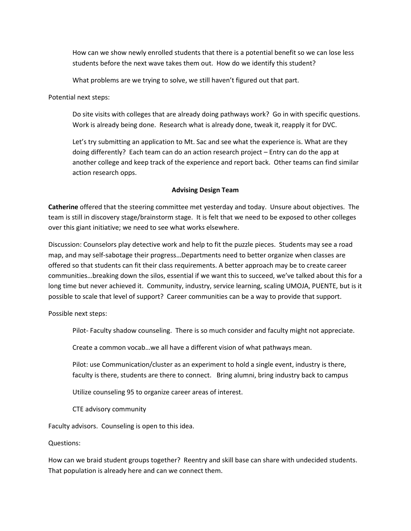How can we show newly enrolled students that there is a potential benefit so we can lose less students before the next wave takes them out. How do we identify this student?

What problems are we trying to solve, we still haven't figured out that part.

Potential next steps:

Do site visits with colleges that are already doing pathways work? Go in with specific questions. Work is already being done. Research what is already done, tweak it, reapply it for DVC.

Let's try submitting an application to Mt. Sac and see what the experience is. What are they doing differently? Each team can do an action research project – Entry can do the app at another college and keep track of the experience and report back. Other teams can find similar action research opps.

#### **Advising Design Team**

**Catherine** offered that the steering committee met yesterday and today.Unsure about objectives.The team is still in discovery stage/brainstorm stage. It is felt that we need to be exposed to other colleges over this giant initiative; we need to see what works elsewhere.

Discussion: Counselors play detective work and help to fit the puzzle pieces. Students may see a road map, and may self-sabotage their progress…Departments need to better organize when classes are offered so that students can fit their class requirements. A better approach may be to create career communities…breaking down the silos, essential if we want this to succeed, we've talked about this for a long time but never achieved it. Community, industry, service learning, scaling UMOJA, PUENTE, but is it possible to scale that level of support? Career communities can be a way to provide that support.

Possible next steps:

Pilot- Faculty shadow counseling. There is so much consider and faculty might not appreciate.

Create a common vocab…we all have a different vision of what pathways mean.

Pilot: use Communication/cluster as an experiment to hold a single event, industry is there, faculty is there, students are there to connect. Bring alumni, bring industry back to campus

Utilize counseling 95 to organize career areas of interest.

CTE advisory community

Faculty advisors. Counseling is open to this idea.

Questions:

How can we braid student groups together? Reentry and skill base can share with undecided students. That population is already here and can we connect them.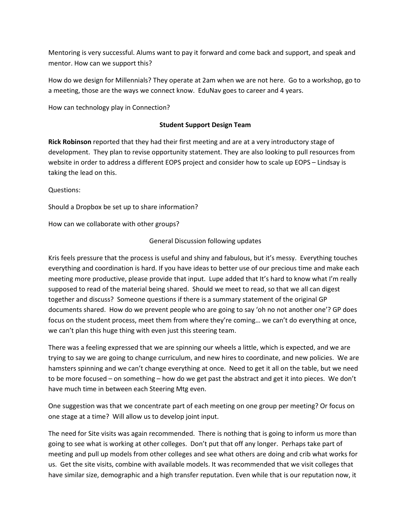Mentoring is very successful. Alums want to pay it forward and come back and support, and speak and mentor. How can we support this?

How do we design for Millennials? They operate at 2am when we are not here. Go to a workshop, go to a meeting, those are the ways we connect know. EduNav goes to career and 4 years.

How can technology play in Connection?

## **Student Support Design Team**

**Rick Robinson** reported that they had their first meeting and are at a very introductory stage of development. They plan to revise opportunity statement. They are also looking to pull resources from website in order to address a different EOPS project and consider how to scale up EOPS – Lindsay is taking the lead on this.

Questions:

Should a Dropbox be set up to share information?

How can we collaborate with other groups?

# General Discussion following updates

Kris feels pressure that the process is useful and shiny and fabulous, but it's messy. Everything touches everything and coordination is hard. If you have ideas to better use of our precious time and make each meeting more productive, please provide that input. Lupe added that It's hard to know what I'm really supposed to read of the material being shared. Should we meet to read, so that we all can digest together and discuss? Someone questions if there is a summary statement of the original GP documents shared. How do we prevent people who are going to say 'oh no not another one'? GP does focus on the student process, meet them from where they're coming… we can't do everything at once, we can't plan this huge thing with even just this steering team.

There was a feeling expressed that we are spinning our wheels a little, which is expected, and we are trying to say we are going to change curriculum, and new hires to coordinate, and new policies. We are hamsters spinning and we can't change everything at once. Need to get it all on the table, but we need to be more focused – on something – how do we get past the abstract and get it into pieces. We don't have much time in between each Steering Mtg even.

One suggestion was that we concentrate part of each meeting on one group per meeting? Or focus on one stage at a time? Will allow us to develop joint input.

The need for Site visits was again recommended. There is nothing that is going to inform us more than going to see what is working at other colleges. Don't put that off any longer. Perhaps take part of meeting and pull up models from other colleges and see what others are doing and crib what works for us. Get the site visits, combine with available models. It was recommended that we visit colleges that have similar size, demographic and a high transfer reputation. Even while that is our reputation now, it